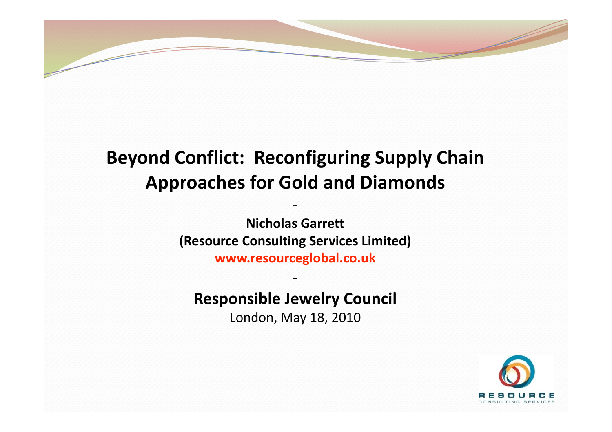

# **Beyond
Conflict:

Reconfiguring
Supply
Chain Approaches
for
Gold
and
Diamonds**

‐

**Nicholas
Garrett (Resource
Consulting
Services
Limited) www.resourceglobal.co.uk** 

**Responsible
Jewelry
Council** 

‐

London,
May
18,
2010

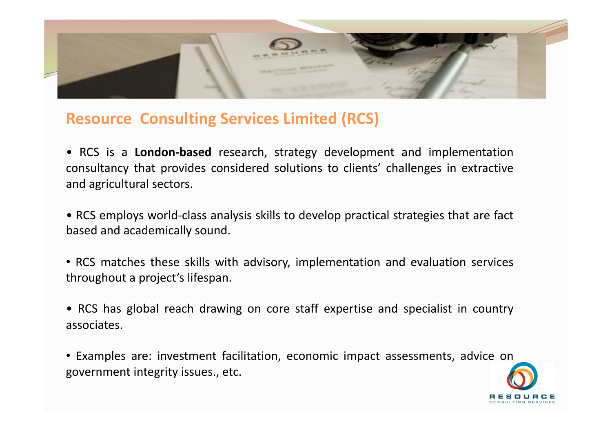

### **Resource

Consulting
Services
Limited
(RCS)**

• RCS is a **London‐based** research, strategy development and implementation consultancy that provides considered solutions to clients' challenges in extractive and
agricultural
sectors.

• RCS employs world‐class analysis skills to develop practical strategies that are fact based
and
academically
sound.

• RCS matches these skills with advisory, implementation and evaluation services throughout
a
project's
lifespan.

• RCS has global reach drawing on core staff expertise and specialist in country associates.

• Examples are: investment facilitation, economic impact assessments, advice on government
integrity
issues.,
etc.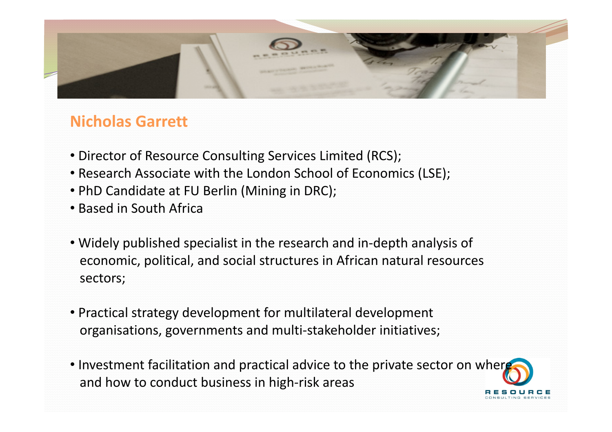

### **Nicholas
Garrett**

- Director of Resource Consulting Services Limited (RCS);
- •Research
Associate
with
the
London
School
of
Economics
(LSE);
- PhD Candidate at FU Berlin (Mining in DRC);
- •Based
in
South
Africa
- Widely published specialist in the research and in-depth analysis of economic,
political,
and
social
structures
in
African
natural
resources sectors;
- •Practical
strategy
development
for
multilateral
development organisations,
governments
and
multi‐stakeholder
initiatives;
- Investment facilitation and practical advice to the private sector on where and
how
to
conduct
business
in
high‐risk
areas **RESOURCE**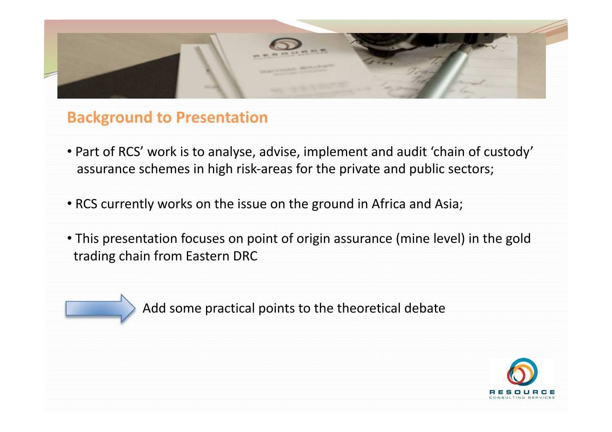

### **Background
to
Presentation**

- Part of RCS' work is to analyse, advise, implement and audit 'chain of custody' assurance
schemes
in
high
risk‐areas
for
the
private
and
public
sectors;
- RCS currently works on the issue on the ground in Africa and Asia;
- This presentation focuses on point of origin assurance (mine level) in the gold trading
chain
from
Eastern
DRC

Add
some
practical
points
to
the
theoretical
debate

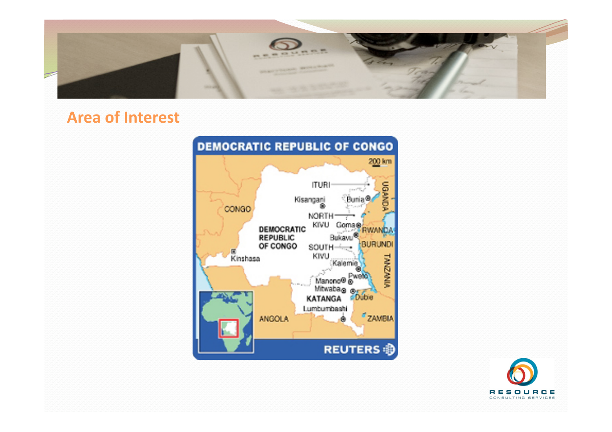

## **Area
of
Interest**



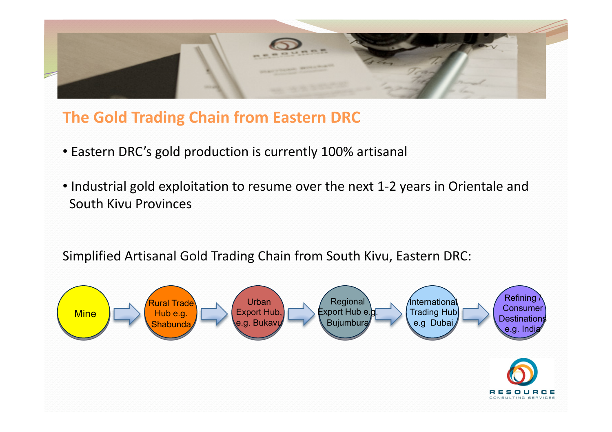

## **The
Gold
Trading
Chain
from
Eastern
DRC**

- Eastern DRC's gold production is currently 100% artisanal
- Industrial gold exploitation to resume over the next 1-2 years in Orientale and South
Kivu
Provinces

Simplified
Artisanal
Gold
Trading
Chain
from
South
Kivu,
Eastern
DRC:

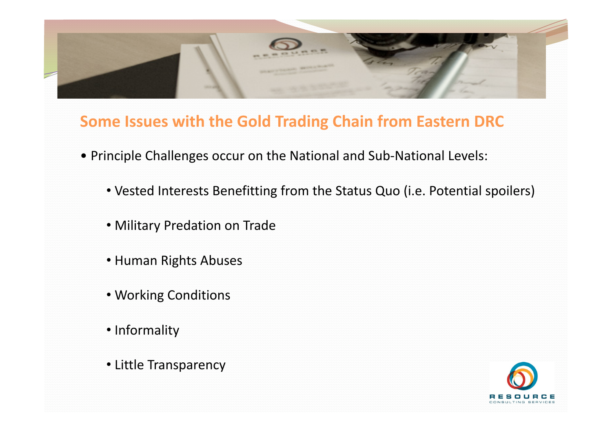

### **Some
Issues
with
the
Gold
Trading
Chain
from
Eastern
DRC**

- •
Principle
Challenges
occur
on
the
National
and
Sub‐National
Levels:
	- Vested Interests Benefitting from the Status Quo (i.e. Potential spoilers)
	- •Military
	Predation
	on
	Trade
	- •Human
	Rights
	Abuses
	- •Working
	Conditions
	- •Informality
	- •Little
	Transparency

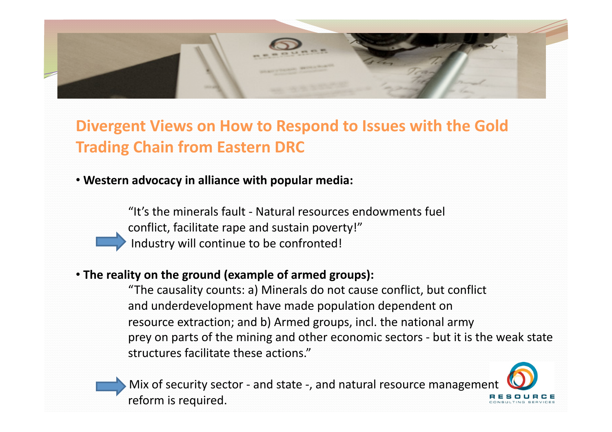

Divergent Views on How to Respond to Issues with the Gold **Trading
Chain
from
Eastern
DRC** 

#### • Western advocacy in alliance with popular media:

"It's
the
minerals
fault
‐
Natural
resources
endowments
fuel conflict, facilitate rape and sustain poverty!" Industry will continue to be confronted!

#### • The reality on the ground (example of armed groups):

"The
causality
counts:
a)
Minerals
do
not
cause
conflict,
but
conflict and
underdevelopment
have
made
population
dependent
on resource
extraction;
and
b)
Armed
groups,
incl.
the
national
army prey
on
parts
of
the
mining
and
other
economic
sectors
‐
but
it
is
the
weak
state structures
facilitate
these
actions."

Mix of security sector - and state -, and natural resource management reform is required.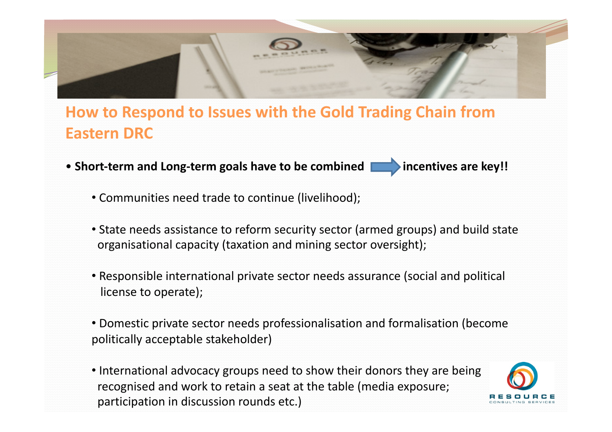

## How to Respond to Issues with the Gold Trading Chain from **Eastern
DRC**

- Short-term and Long-term goals have to be combined **intermal and the state of the state of the state of the state of the state of the state of the state of the state of the state of the state of the state of the state of** 
	- Communities need trade to continue (livelihood);
	- State needs assistance to reform security sector (armed groups) and build state organisational
	capacity
	(taxation
	and
	mining
	sector
	oversight);
	- Responsible international private sector needs assurance (social and political license
	to
	operate);
	- Domestic private sector needs professionalisation and formalisation (become politically
	acceptable
	stakeholder)
	- International advocacy groups need to show their donors they are being recognised
	and
	work
	to
	retain
	a
	seat
	at
	the
	table
	(media
	exposure; participation
	in
	discussion
	rounds
	etc.)

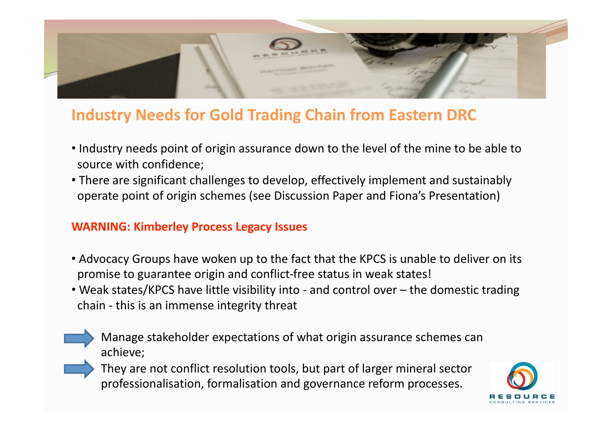

## **Industry
Needs
for
Gold
Trading
Chain
from
Eastern
DRC**

- Industry needs point of origin assurance down to the level of the mine to be able to source
with
confidence;
- There are significant challenges to develop, effectively implement and sustainably operate
point
of
origin
schemes
(see
Discussion
Paper
and
Fiona's
Presentation)

#### **WARNING:
Kimberley
Process
Legacy
Issues**

- Advocacy Groups have woken up to the fact that the KPCS is unable to deliver on its promise
to
guarantee
origin
and
conflict‐free
status
in
weak
states!
- Weak states/KPCS have little visibility into and control over the domestic trading chain
‐
this
is
an
immense
integrity
threat
	- Manage
	stakeholder
	expectations
	of
	what
	origin
	assurance
	schemes
	can achieve;
	- They
	are
	not
	conflict
	resolution
	tools,
	but
	part
	of
	larger
	mineral
	sector professionalisation,
	formalisation
	and
	governance
	reform
	processes.

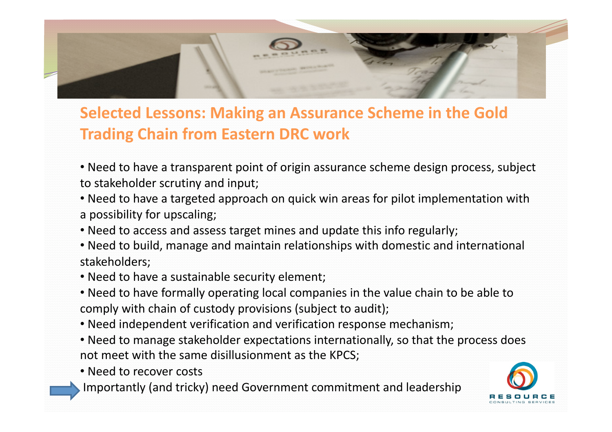

## **Selected
Lessons:
Making
an
Assurance
Scheme
in
the
Gold Trading
Chain
from
Eastern
DRC
work**

- Need to have a transparent point of origin assurance scheme design process, subject to
stakeholder
scrutiny
and
input;
- Need to have a targeted approach on quick win areas for pilot implementation with a
possibility
for
upscaling;
- Need to access and assess target mines and update this info regularly;
- Need to build, manage and maintain relationships with domestic and international stakeholders;
- •Need
to
have
a
sustainable
security
element;
- Need to have formally operating local companies in the value chain to be able to comply
with
chain
of
custody
provisions
(subject
to
audit);
- •Need
independent
verification
and
verification
response
mechanism;
- Need to manage stakeholder expectations internationally, so that the process does not
meet
with
the
same
disillusionment
as
the
KPCS;
- Need to recover costs
- Importantly
(and
tricky)
need
Government
commitment
and
leadership